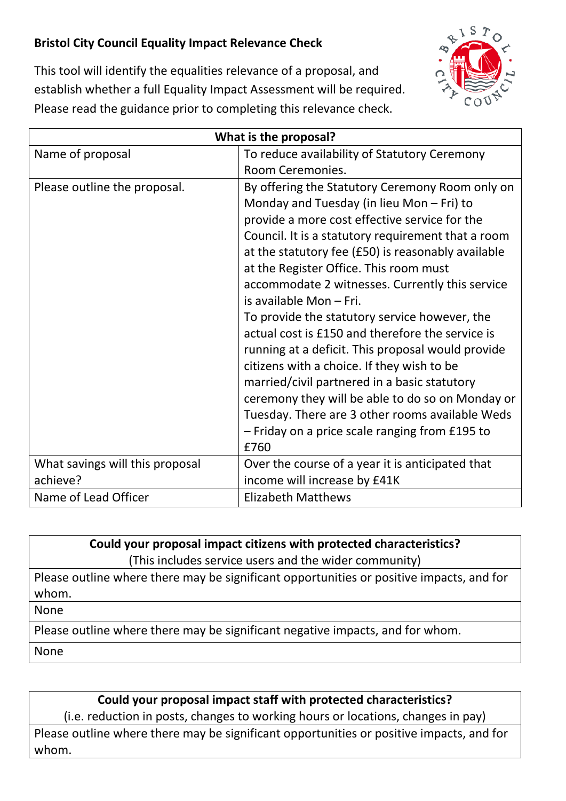## **Bristol City Council Equality Impact Relevance Check**



This tool will identify the equalities relevance of a proposal, and establish whether a full Equality Impact Assessment will be required. Please read the guidance prior to completing this relevance check.

| What is the proposal?           |                                                                                                                                                                                                                                                                                                                                                                                                                                                                                                                                                                                                                                                                                                                                                                                                              |
|---------------------------------|--------------------------------------------------------------------------------------------------------------------------------------------------------------------------------------------------------------------------------------------------------------------------------------------------------------------------------------------------------------------------------------------------------------------------------------------------------------------------------------------------------------------------------------------------------------------------------------------------------------------------------------------------------------------------------------------------------------------------------------------------------------------------------------------------------------|
| Name of proposal                | To reduce availability of Statutory Ceremony<br>Room Ceremonies.                                                                                                                                                                                                                                                                                                                                                                                                                                                                                                                                                                                                                                                                                                                                             |
| Please outline the proposal.    | By offering the Statutory Ceremony Room only on<br>Monday and Tuesday (in lieu Mon $-$ Fri) to<br>provide a more cost effective service for the<br>Council. It is a statutory requirement that a room<br>at the statutory fee (£50) is reasonably available<br>at the Register Office. This room must<br>accommodate 2 witnesses. Currently this service<br>is available Mon - Fri.<br>To provide the statutory service however, the<br>actual cost is £150 and therefore the service is<br>running at a deficit. This proposal would provide<br>citizens with a choice. If they wish to be<br>married/civil partnered in a basic statutory<br>ceremony they will be able to do so on Monday or<br>Tuesday. There are 3 other rooms available Weds<br>- Friday on a price scale ranging from £195 to<br>£760 |
| What savings will this proposal | Over the course of a year it is anticipated that                                                                                                                                                                                                                                                                                                                                                                                                                                                                                                                                                                                                                                                                                                                                                             |
| achieve?                        | income will increase by £41K                                                                                                                                                                                                                                                                                                                                                                                                                                                                                                                                                                                                                                                                                                                                                                                 |
| Name of Lead Officer            | <b>Elizabeth Matthews</b>                                                                                                                                                                                                                                                                                                                                                                                                                                                                                                                                                                                                                                                                                                                                                                                    |

**Could your proposal impact citizens with protected characteristics?** (This includes service users and the wider community)

Please outline where there may be significant opportunities or positive impacts, and for whom.

None

Please outline where there may be significant negative impacts, and for whom.

None

## **Could your proposal impact staff with protected characteristics?**

(i.e. reduction in posts, changes to working hours or locations, changes in pay) Please outline where there may be significant opportunities or positive impacts, and for whom.